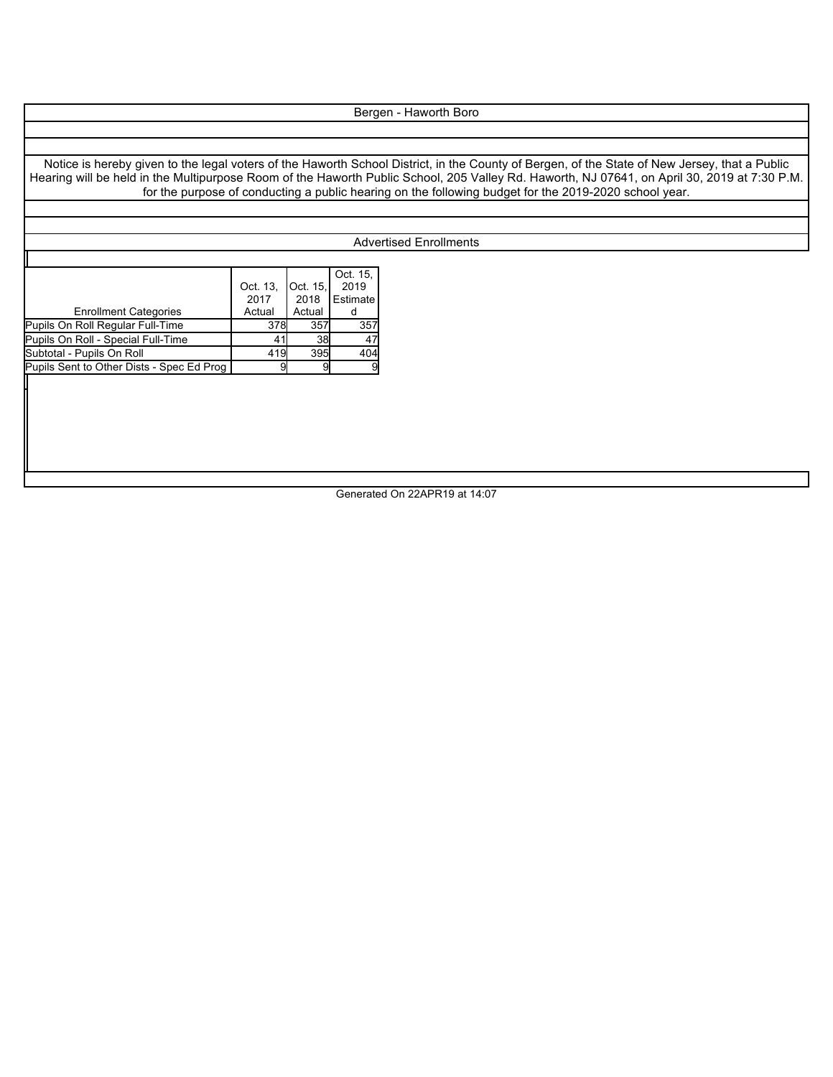## Bergen - Haworth Boro

Notice is hereby given to the legal voters of the Haworth School District, in the County of Bergen, of the State of New Jersey, that a Public Hearing will be held in the Multipurpose Room of the Haworth Public School, 205 Valley Rd. Haworth, NJ 07641, on April 30, 2019 at 7:30 P.M. for the purpose of conducting a public hearing on the following budget for the 2019-2020 school year.

## Advertised Enrollments

|                                           |        | Oct. 15.               |
|-------------------------------------------|--------|------------------------|
| Oct. 13,                                  |        | 2019                   |
| 2017                                      | 2018   | Estimate               |
| Actual                                    | Actual |                        |
|                                           | 357    | 357                    |
| 41                                        | 38     | 47                     |
|                                           | 395    | 404                    |
|                                           |        | 9                      |
| Pupils Sent to Other Dists - Spec Ed Prog |        | Oct. 15.<br>378<br>419 |

Generated On 22APR19 at 14:07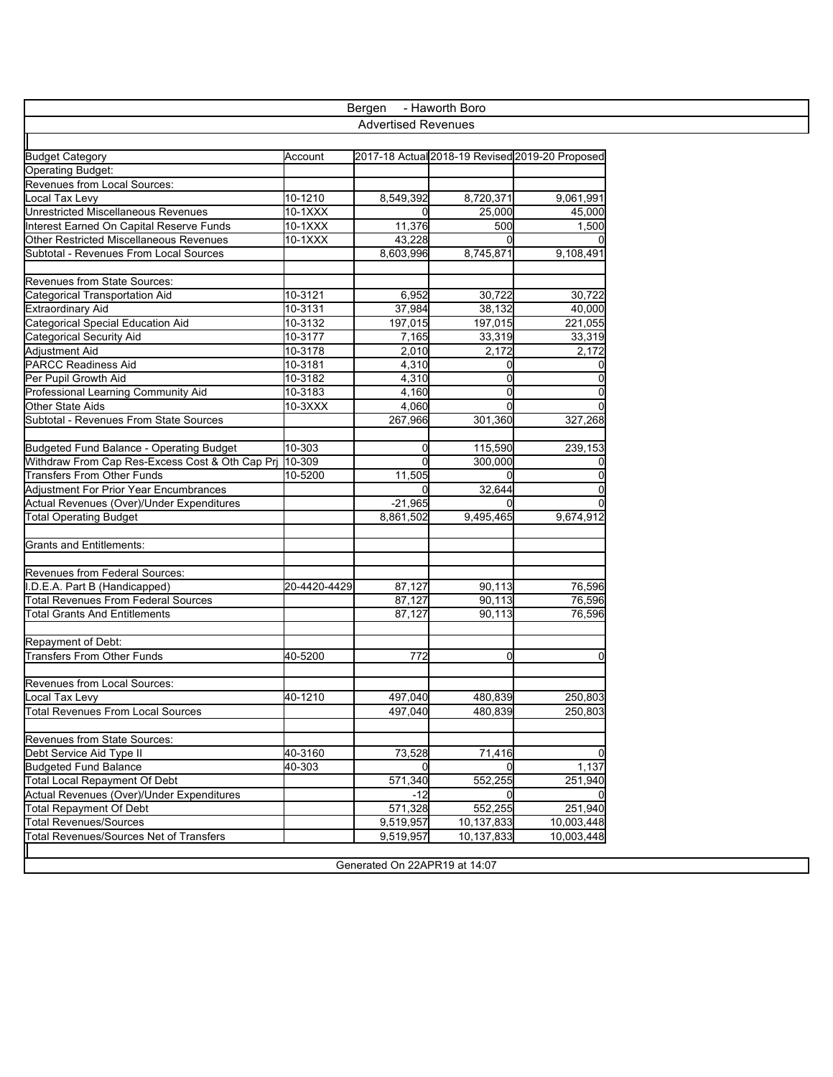| - Haworth Boro<br>Bergen                        |              |           |                                                 |            |  |  |  |
|-------------------------------------------------|--------------|-----------|-------------------------------------------------|------------|--|--|--|
| <b>Advertised Revenues</b>                      |              |           |                                                 |            |  |  |  |
|                                                 |              |           |                                                 |            |  |  |  |
| <b>Budget Category</b>                          | Account      |           | 2017-18 Actual 2018-19 Revised 2019-20 Proposed |            |  |  |  |
| <b>Operating Budget:</b>                        |              |           |                                                 |            |  |  |  |
| Revenues from Local Sources:                    |              |           |                                                 |            |  |  |  |
| Local Tax Levy                                  | 10-1210      | 8,549,392 | 8,720,371                                       | 9,061,991  |  |  |  |
| <b>Unrestricted Miscellaneous Revenues</b>      | 10-1XXX      |           | 25,000                                          | 45,000     |  |  |  |
| Interest Earned On Capital Reserve Funds        | 10-1XXX      | 11,376    | 500                                             | 1,500      |  |  |  |
| <b>Other Restricted Miscellaneous Revenues</b>  | 10-1XXX      | 43,228    |                                                 |            |  |  |  |
| Subtotal - Revenues From Local Sources          |              | 8,603,996 | 8,745,871                                       | 9,108,491  |  |  |  |
| <b>Revenues from State Sources:</b>             |              |           |                                                 |            |  |  |  |
| Categorical Transportation Aid                  | 10-3121      | 6,952     | 30,722                                          | 30,722     |  |  |  |
| <b>Extraordinary Aid</b>                        | 10-3131      | 37,984    | 38,132                                          | 40,000     |  |  |  |
| Categorical Special Education Aid               | 10-3132      | 197,015   | 197,015                                         | 221,055    |  |  |  |
| <b>Categorical Security Aid</b>                 | 10-3177      | 7,165     | 33,319                                          | 33,319     |  |  |  |
| Adjustment Aid                                  | 10-3178      | 2,010     | 2,172                                           | 2,172      |  |  |  |
| <b>PARCC Readiness Aid</b>                      | 10-3181      | 4,310     |                                                 |            |  |  |  |
| Per Pupil Growth Aid                            | 10-3182      | 4,310     | 0                                               |            |  |  |  |
| Professional Learning Community Aid             | 10-3183      | 4,160     | 0                                               |            |  |  |  |
| Other State Aids                                | 10-3XXX      | 4,060     |                                                 |            |  |  |  |
| Subtotal - Revenues From State Sources          |              | 267,966   | 301.360                                         | 327,268    |  |  |  |
|                                                 |              |           |                                                 |            |  |  |  |
| Budgeted Fund Balance - Operating Budget        | 10-303       |           | 115,590                                         | 239,153    |  |  |  |
| Withdraw From Cap Res-Excess Cost & Oth Cap Prj | 10-309       |           | 300,000                                         |            |  |  |  |
| <b>Transfers From Other Funds</b>               | 10-5200      | 11,505    |                                                 |            |  |  |  |
| <b>Adjustment For Prior Year Encumbrances</b>   |              |           | 32,644                                          |            |  |  |  |
| Actual Revenues (Over)/Under Expenditures       |              | $-21,965$ |                                                 |            |  |  |  |
| Total Operating Budget                          |              | 8,861,502 | 9,495,465                                       | 9,674,912  |  |  |  |
|                                                 |              |           |                                                 |            |  |  |  |
| <b>Grants and Entitlements:</b>                 |              |           |                                                 |            |  |  |  |
| Revenues from Federal Sources:                  |              |           |                                                 |            |  |  |  |
| .D.E.A. Part B (Handicapped)                    | 20-4420-4429 | 87,127    | 90,113                                          | 76,596     |  |  |  |
| Total Revenues From Federal Sources             |              | 87,127    | 90,113                                          | 76,596     |  |  |  |
| <b>Total Grants And Entitlements</b>            |              | 87,127    | 90,113                                          | 76,596     |  |  |  |
|                                                 |              |           |                                                 |            |  |  |  |
| Repayment of Debt:                              |              |           |                                                 |            |  |  |  |
| <b>Transfers From Other Funds</b>               | 40-5200      | 772       | 0                                               |            |  |  |  |
| <b>Revenues from Local Sources:</b>             |              |           |                                                 |            |  |  |  |
| Local Tax Levy                                  | 40-1210      | 497,040   | 480,839                                         | 250,803    |  |  |  |
| <b>Total Revenues From Local Sources</b>        |              | 497,040   | 480,839                                         | 250,803    |  |  |  |
| Revenues from State Sources:                    |              |           |                                                 |            |  |  |  |
| Debt Service Aid Type II                        | 40-3160      | 73,528    | 71,416                                          |            |  |  |  |
| <b>Budgeted Fund Balance</b>                    | 40-303       |           |                                                 | 1,137      |  |  |  |
| <b>Total Local Repayment Of Debt</b>            |              | 571,340   | 552,255                                         | 251,940    |  |  |  |
| Actual Revenues (Over)/Under Expenditures       |              | $-12$     |                                                 |            |  |  |  |
| <b>Total Repayment Of Debt</b>                  |              | 571,328   | 552,255                                         | 251,940    |  |  |  |
| <b>Total Revenues/Sources</b>                   |              | 9,519,957 | 10,137,833                                      | 10,003,448 |  |  |  |
| Total Revenues/Sources Net of Transfers         |              | 9,519,957 | 10,137,833                                      | 10,003,448 |  |  |  |
|                                                 |              |           |                                                 |            |  |  |  |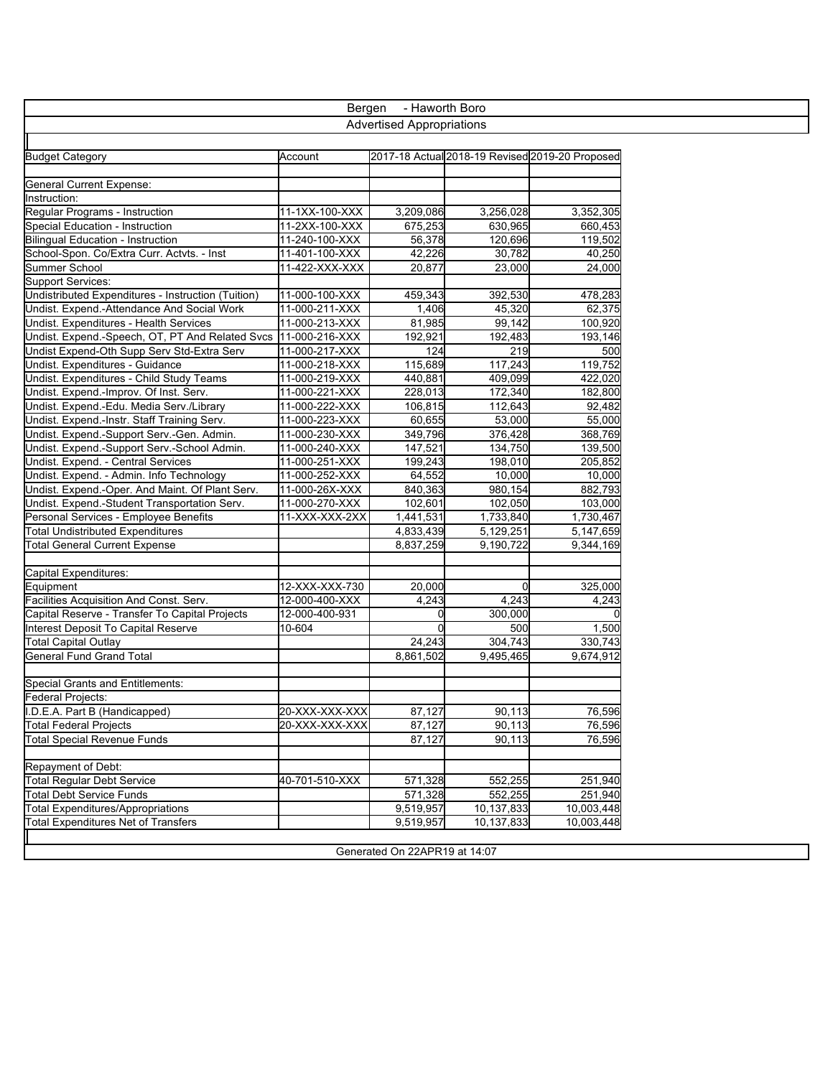| - Haworth Boro<br>Bergen                           |                                                 |           |            |            |  |  |  |  |
|----------------------------------------------------|-------------------------------------------------|-----------|------------|------------|--|--|--|--|
| <b>Advertised Appropriations</b>                   |                                                 |           |            |            |  |  |  |  |
|                                                    |                                                 |           |            |            |  |  |  |  |
| <b>Budget Category</b>                             | 2017-18 Actual 2018-19 Revised 2019-20 Proposed |           |            |            |  |  |  |  |
|                                                    | Account                                         |           |            |            |  |  |  |  |
| <b>General Current Expense:</b>                    |                                                 |           |            |            |  |  |  |  |
| Instruction:                                       |                                                 |           |            |            |  |  |  |  |
| Regular Programs - Instruction                     | 11-1XX-100-XXX                                  | 3,209,086 | 3,256,028  | 3,352,305  |  |  |  |  |
| Special Education - Instruction                    | 11-2XX-100-XXX                                  | 675,253   | 630,965    | 660,453    |  |  |  |  |
| <b>Bilingual Education - Instruction</b>           | 11-240-100-XXX                                  | 56,378    | 120,696    | 119,502    |  |  |  |  |
| School-Spon. Co/Extra Curr. Actvts. - Inst         | 11-401-100-XXX                                  | 42,226    | 30,782     | 40,250     |  |  |  |  |
| Summer School                                      | 11-422-XXX-XXX                                  | 20,877    | 23,000     | 24,000     |  |  |  |  |
| <b>Support Services:</b>                           |                                                 |           |            |            |  |  |  |  |
| Undistributed Expenditures - Instruction (Tuition) | 11-000-100-XXX                                  | 459,343   | 392,530    | 478,283    |  |  |  |  |
| Undist. Expend.-Attendance And Social Work         | 11-000-211-XXX                                  | 1,406     | 45,320     | 62,375     |  |  |  |  |
| Undist. Expenditures - Health Services             | 11-000-213-XXX                                  | 81,985    | 99,142     | 100,920    |  |  |  |  |
| Undist. Expend.-Speech, OT, PT And Related Svcs    | 11-000-216-XXX                                  | 192,921   | 192,483    | 193,146    |  |  |  |  |
| Undist Expend-Oth Supp Serv Std-Extra Serv         | 11-000-217-XXX                                  | 124       | 219        | 500        |  |  |  |  |
| Undist. Expenditures - Guidance                    | 11-000-218-XXX                                  | 115,689   | 117,243    | 119,752    |  |  |  |  |
| Undist. Expenditures - Child Study Teams           | 11-000-219-XXX                                  | 440.881   | 409,099    | 422,020    |  |  |  |  |
| Undist. Expend.-Improv. Of Inst. Serv.             | 11-000-221-XXX                                  | 228,013   | 172,340    | 182,800    |  |  |  |  |
| Undist. Expend.-Edu. Media Serv./Library           | 11-000-222-XXX                                  | 106,815   | 112,643    | 92,482     |  |  |  |  |
| Undist. Expend.-Instr. Staff Training Serv.        | 11-000-223-XXX                                  | 60,655    | 53,000     | 55,000     |  |  |  |  |
| Undist. Expend.-Support Serv.-Gen. Admin.          | 11-000-230-XXX                                  | 349,796   | 376,428    | 368,769    |  |  |  |  |
| Undist. Expend.-Support Serv.-School Admin.        | 11-000-240-XXX                                  | 147,521   | 134,750    | 139,500    |  |  |  |  |
| Undist. Expend. - Central Services                 | 11-000-251-XXX                                  | 199,243   | 198,010    | 205,852    |  |  |  |  |
| Undist. Expend. - Admin. Info Technology           | 11-000-252-XXX                                  | 64,552    | 10,000     | 10,000     |  |  |  |  |
| Undist. Expend.-Oper. And Maint. Of Plant Serv.    | 11-000-26X-XXX                                  | 840,363   | 980,154    | 882,793    |  |  |  |  |
| Undist. Expend.-Student Transportation Serv.       | 11-000-270-XXX                                  | 102,601   | 102,050    | 103,000    |  |  |  |  |
|                                                    |                                                 |           |            |            |  |  |  |  |
| Personal Services - Employee Benefits              | 11-XXX-XXX-2XX                                  | 1,441,531 | 1,733,840  | 1,730,467  |  |  |  |  |
| <b>Total Undistributed Expenditures</b>            |                                                 | 4,833,439 | 5,129,251  | 5,147,659  |  |  |  |  |
| Total General Current Expense                      |                                                 | 8,837,259 | 9,190,722  | 9,344,169  |  |  |  |  |
| Capital Expenditures:                              |                                                 |           |            |            |  |  |  |  |
| Equipment                                          | 12-XXX-XXX-730                                  | 20,000    | $\Omega$   | 325,000    |  |  |  |  |
| Facilities Acquisition And Const. Serv.            | 12-000-400-XXX                                  | 4,243     | 4,243      | 4,243      |  |  |  |  |
| Capital Reserve - Transfer To Capital Projects     | 12-000-400-931                                  | 0         | 300,000    |            |  |  |  |  |
|                                                    |                                                 |           |            |            |  |  |  |  |
| Interest Deposit To Capital Reserve                | 10-604                                          |           | 500        | 1,500      |  |  |  |  |
| <b>Total Capital Outlay</b>                        |                                                 | 24,243    | 304,743    | 330,743    |  |  |  |  |
| <b>General Fund Grand Total</b>                    |                                                 | 8,861,502 | 9,495,465  | 9,674,912  |  |  |  |  |
| <b>Special Grants and Entitlements:</b>            |                                                 |           |            |            |  |  |  |  |
| Federal Projects:                                  |                                                 |           |            |            |  |  |  |  |
|                                                    |                                                 |           |            |            |  |  |  |  |
| I.D.E.A. Part B (Handicapped)                      | 20-XXX-XXX-XXX                                  | 87,127    | 90,113     | 76,596     |  |  |  |  |
| <b>Total Federal Projects</b>                      | 20-XXX-XXX-XXX                                  | 87,127    | 90.113     | 76,596     |  |  |  |  |
| <b>Total Special Revenue Funds</b>                 |                                                 | 87,127    | 90,113     | 76,596     |  |  |  |  |
| Repayment of Debt:                                 |                                                 |           |            |            |  |  |  |  |
| <b>Total Regular Debt Service</b>                  | 40-701-510-XXX                                  | 571,328   | 552,255    | 251,940    |  |  |  |  |
| <b>Total Debt Service Funds</b>                    |                                                 | 571,328   | 552,255    | 251,940    |  |  |  |  |
| <b>Total Expenditures/Appropriations</b>           |                                                 | 9,519,957 | 10,137,833 | 10,003,448 |  |  |  |  |
|                                                    |                                                 | 9,519,957 |            | 10,003,448 |  |  |  |  |
| <b>Total Expenditures Net of Transfers</b>         |                                                 |           | 10,137,833 |            |  |  |  |  |

Generated On 22APR19 at 14:07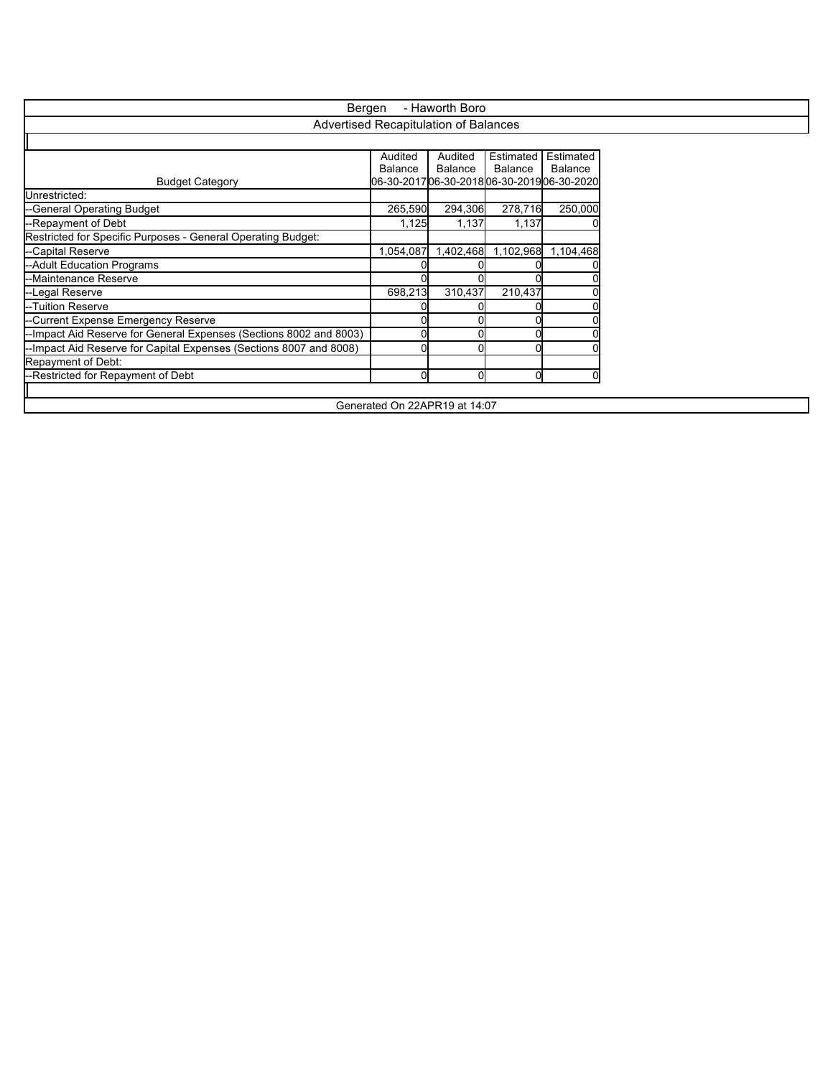| Bergen<br>- Haworth Boro                                           |                                          |                |                               |           |  |  |  |
|--------------------------------------------------------------------|------------------------------------------|----------------|-------------------------------|-----------|--|--|--|
| Advertised Recapitulation of Balances                              |                                          |                |                               |           |  |  |  |
|                                                                    |                                          |                |                               |           |  |  |  |
|                                                                    | Audited                                  | Audited        | Estimated                     | Estimated |  |  |  |
|                                                                    | <b>Balance</b>                           | <b>Balance</b> | <b>Balance</b>                | Balance   |  |  |  |
| <b>Budget Category</b>                                             | 06-30-201706-30-201806-30-201906-30-2020 |                |                               |           |  |  |  |
| Unrestricted:                                                      |                                          |                |                               |           |  |  |  |
| --General Operating Budget                                         | 265,590                                  | 294,306        | 278,716                       | 250,000   |  |  |  |
| --Repayment of Debt                                                | 1,125                                    | 1,137          | 1,137                         |           |  |  |  |
| Restricted for Specific Purposes - General Operating Budget:       |                                          |                |                               |           |  |  |  |
| --Capital Reserve                                                  | 1,054,087                                |                | 1,402,468 1,102,968 1,104,468 |           |  |  |  |
| --Adult Education Programs                                         |                                          |                |                               |           |  |  |  |
| --Maintenance Reserve                                              |                                          |                |                               |           |  |  |  |
| --Legal Reserve                                                    | 698,213                                  | 310,437        | 210,437                       |           |  |  |  |
| --Tuition Reserve                                                  |                                          |                |                               |           |  |  |  |
| -Current Expense Emergency Reserve                                 |                                          |                |                               |           |  |  |  |
| -Impact Aid Reserve for General Expenses (Sections 8002 and 8003)  |                                          |                |                               |           |  |  |  |
| --Impact Aid Reserve for Capital Expenses (Sections 8007 and 8008) |                                          |                |                               |           |  |  |  |
| Repayment of Debt:                                                 |                                          |                |                               |           |  |  |  |
| --Restricted for Repayment of Debt                                 | $\Omega$                                 | ΩI             | n                             |           |  |  |  |
|                                                                    |                                          |                |                               |           |  |  |  |
| Generated On 22APR19 at 14:07                                      |                                          |                |                               |           |  |  |  |